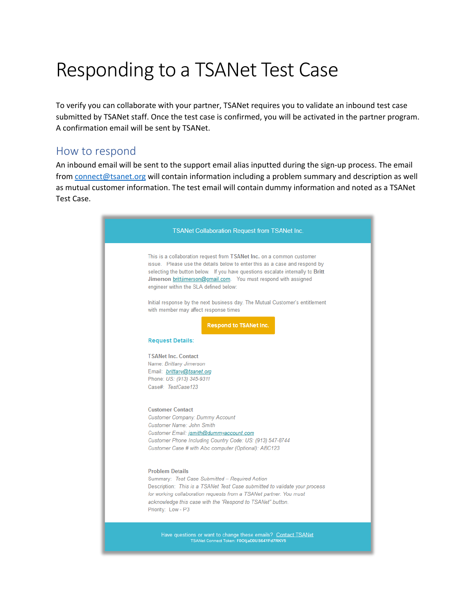## Responding to a TSANet Test Case

To verify you can collaborate with your partner, TSANet requires you to validate an inbound test case submitted by TSANet staff. Once the test case is confirmed, you will be activated in the partner program. A confirmation email will be sent by TSANet.

## How to respond

An inbound email will be sent to the support email alias inputted during the sign-up process. The email from [connect@tsanet.org](mailto:connect@tsanet.org) will contain information including a problem summary and description as well as mutual customer information. The test email will contain dummy information and noted as a TSANet Test Case.

| <b>TSANet Collaboration Request from TSANet Inc.</b>                                                                                                                                                                                                                                                                                                |
|-----------------------------------------------------------------------------------------------------------------------------------------------------------------------------------------------------------------------------------------------------------------------------------------------------------------------------------------------------|
| This is a collaboration request from TSANet Inc. on a common customer<br>issue. Please use the details below to enter this as a case and respond by<br>selecting the button below. If you have questions escalate internally to Britt<br>Jimerson brittjimerson@gmail.com. You must respond with assigned<br>engineer within the SLA defined below: |
| Initial response by the next business day. The Mutual Customer's entitlement<br>with member may affect response times<br><b>Respond to TSANet Inc.</b>                                                                                                                                                                                              |
| <b>Request Details:</b>                                                                                                                                                                                                                                                                                                                             |
| <b>TSANet Inc. Contact</b><br>Name: Brittany Jimerson<br>Email: brittany@tsanet.org<br>Phone: US: (913) 345-9311<br>Case# TestCase123                                                                                                                                                                                                               |
| <b>Customer Contact</b><br>Customer Company: Dummy Account<br><b>Customer Name: John Smith</b><br>Customer Email: jsmith@dummyaccount.com<br>Customer Phone Including Country Code: US: (913) 547-8744<br>Customer Case # with Abc computer (Optional): ABC123                                                                                      |
| <b>Problem Details</b><br>Summary: Test Case Submitted - Required Action<br>Description: This is a TSANet Test Case submitted to validate your process<br>for working collaboration requests from a TSANet partner. You must<br>acknowledge this case with the "Respond to TSANet" button.<br>Priority: Low - P3                                    |
| Have questions or want to change these emails? Contact TSANet<br>TSANet Connect Token: F0OIjaD0US64YFd7RKV5                                                                                                                                                                                                                                         |